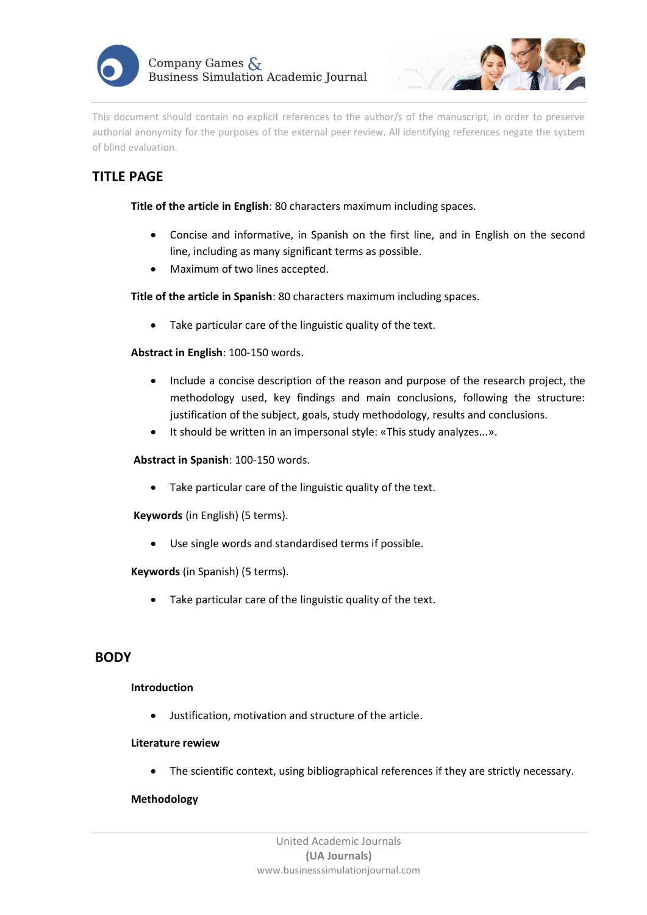



This document should contain no explicit references to the author/s of the manuscript, in order to preserve authorial anonymity for the purposes of the external peer review. All identifying references negate the system of blind evaluation.

# **TITLE PAGE**

**Title of the article in English**: 80 characters maximum including spaces.

- Concise and informative, in Spanish on the first line, and in English on the second line, including as many significant terms as possible.
- Maximum of two lines accepted.

**Title of the article in Spanish**: 80 characters maximum including spaces.

• Take particular care of the linguistic quality of the text.

# **Abstract in English**: 100-150 words.

- Include a concise description of the reason and purpose of the research project, the methodology used, key findings and main conclusions, following the structure: justification of the subject, goals, study methodology, results and conclusions.
- It should be written in an impersonal style: «This study analyzes...».

### **Abstract in Spanish**: 100-150 words.

• Take particular care of the linguistic quality of the text.

**Keywords** (in English) (5 terms).

• Use single words and standardised terms if possible.

#### **Keywords** (in Spanish) (5 terms).

• Take particular care of the linguistic quality of the text.

# **BODY**

### **Introduction**

• Justification, motivation and structure of the article.

#### **Literature rewiew**

The scientific context, using bibliographical references if they are strictly necessary.

#### **Methodology**